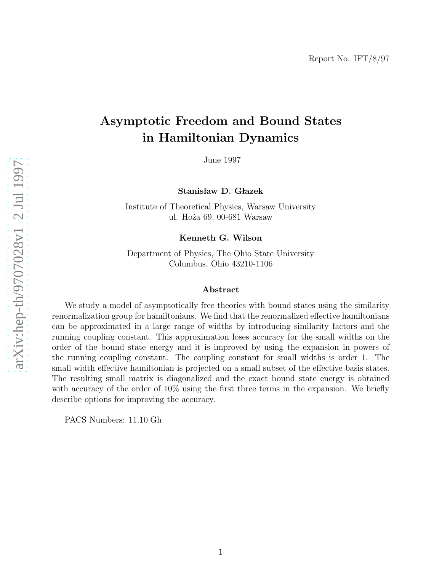## Asymptotic Freedom and Bound States in Hamiltonian Dynamics

June 1997

Stanisław D. Głazek

Institute of Theoretical Physics, Warsaw University ul. Hoża 69, 00-681 Warsaw

Kenneth G. Wilson

Department of Physics, The Ohio State University Columbus, Ohio 43210-1106

### Abstract

We study a model of asymptotically free theories with bound states using the similarity renormalization group for hamiltonians. We find that the renormalized effective hamiltonians can be approximated in a large range of widths by introducing similarity factors and the running coupling constant. This approximation loses accuracy for the small widths on the order of the bound state energy and it is improved by using the expansion in powers of the running coupling constant. The coupling constant for small widths is order 1. The small width effective hamiltonian is projected on a small subset of the effective basis states. The resulting small matrix is diagonalized and the exact bound state energy is obtained with accuracy of the order of 10% using the first three terms in the expansion. We briefly describe options for improving the accuracy.

PACS Numbers: 11.10.Gh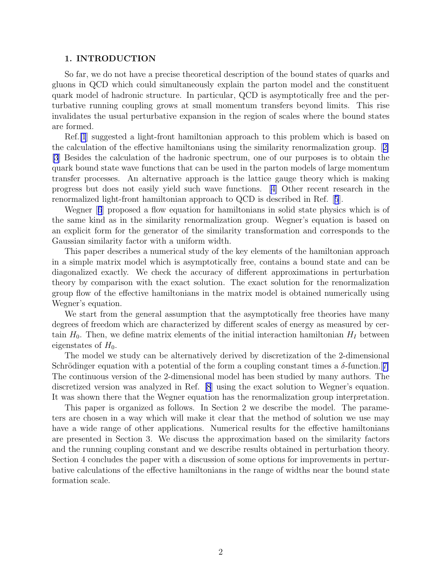### 1. INTRODUCTION

So far, we do not have a precise theoretical description of the bound states of quarks and gluons in QCD which could simultaneously explain the parton model and the constituent quark model of hadronic structure. In particular, QCD is asymptotically free and the perturbative running coupling grows at small momentum transfers beyond limits. This rise invalidates the usual perturbative expansion in the region of scales where the bound states are formed.

Ref.[\[1](#page-12-0)] suggested a light-front hamiltonian approach to this problem which is based on the calculation of the effective hamiltonians using the similarity renormalization group.[[2\]](#page-12-0) [\[3](#page-12-0)] Besides the calculation of the hadronic spectrum, one of our purposes is to obtain the quark bound state wave functions that can be used in the parton models of large momentum transfer processes. An alternative approach is the lattice gauge theory which is making progress but does not easily yield such wave functions.[[4\]](#page-13-0) Other recent research in the renormalized light-front hamiltonian approach to QCD is described in Ref.[[5](#page-13-0)].

Wegner[[6](#page-13-0)] proposed a flow equation for hamiltonians in solid state physics which is of the same kind as in the similarity renormalization group. Wegner's equation is based on an explicit form for the generator of the similarity transformation and corresponds to the Gaussian similarity factor with a uniform width.

This paper describes a numerical study of the key elements of the hamiltonian approach in a simple matrix model which is asymptotically free, contains a bound state and can be diagonalized exactly. We check the accuracy of different approximations in perturbation theory by comparison with the exact solution. The exact solution for the renormalization group flow of the effective hamiltonians in the matrix model is obtained numerically using Wegner's equation.

We start from the general assumption that the asymptotically free theories have many degrees of freedom which are characterized by different scales of energy as measured by certain  $H_0$ . Then, we define matrix elements of the initial interaction hamiltonian  $H_I$  between eigenstates of  $H_0$ .

The model we study can be alternatively derived by discretization of the 2-dimensional Schrödinger equation with a potential of the form a coupling constant times a  $\delta$ -function.[[7\]](#page-13-0) The continuous version of the 2-dimensional model has been studied by many authors. The discretized version was analyzed in Ref. [\[8](#page-13-0)] using the exact solution to Wegner's equation. It was shown there that the Wegner equation has the renormalization group interpretation.

This paper is organized as follows. In Section 2 we describe the model. The parameters are chosen in a way which will make it clear that the method of solution we use may have a wide range of other applications. Numerical results for the effective hamiltonians are presented in Section 3. We discuss the approximation based on the similarity factors and the running coupling constant and we describe results obtained in perturbation theory. Section 4 concludes the paper with a discussion of some options for improvements in perturbative calculations of the effective hamiltonians in the range of widths near the bound state formation scale.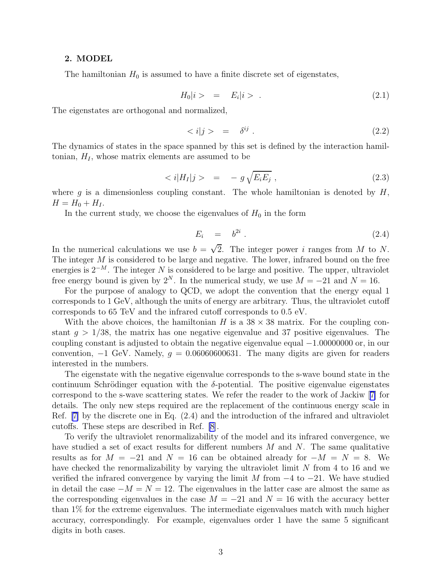## 2. MODEL

The hamiltonian  $H_0$  is assumed to have a finite discrete set of eigenstates,

$$
H_0|i \rangle = E_i|i \rangle . \tag{2.1}
$$

The eigenstates are orthogonal and normalized,

$$
\langle i|j \rangle = \delta^{ij} \tag{2.2}
$$

The dynamics of states in the space spanned by this set is defined by the interaction hamiltonian,  $H_I$ , whose matrix elements are assumed to be

$$
\langle i|H_{I}|j\rangle = -g\sqrt{E_{i}E_{j}}\,,\tag{2.3}
$$

where g is a dimensionless coupling constant. The whole hamiltonian is denoted by  $H$ ,  $H = H_0 + H_I$ .

In the current study, we choose the eigenvalues of  $H_0$  in the form

$$
E_i = b^{2i} \tag{2.4}
$$

In the numerical calculations we use  $b = \sqrt{2}$ . The integer power i ranges from M to N. The integer M is considered to be large and negative. The lower, infrared bound on the free energies is  $2^{-M}$ . The integer N is considered to be large and positive. The upper, ultraviolet free energy bound is given by  $2^N$ . In the numerical study, we use  $M = -21$  and  $N = 16$ .

For the purpose of analogy to QCD, we adopt the convention that the energy equal 1 corresponds to 1 GeV, although the units of energy are arbitrary. Thus, the ultraviolet cutoff corresponds to 65 TeV and the infrared cutoff corresponds to 0.5 eV.

With the above choices, the hamiltonian H is a  $38 \times 38$  matrix. For the coupling constant  $g > 1/38$ , the matrix has one negative eigenvalue and 37 positive eigenvalues. The coupling constant is adjusted to obtain the negative eigenvalue equal −1.00000000 or, in our convention,  $-1$  GeV. Namely,  $g = 0.06060600631$ . The many digits are given for readers interested in the numbers.

The eigenstate with the negative eigenvalue corresponds to the s-wave bound state in the continuum Schrödinger equation with the  $\delta$ -potential. The positive eigenvalue eigenstates correspond to the s-wave scattering states. We refer the reader to the work of Jackiw [\[7\]](#page-13-0) for details. The only new steps required are the replacement of the continuous energy scale in Ref. [\[7\]](#page-13-0) by the discrete one in Eq. (2.4) and the introduction of the infrared and ultraviolet cutoffs. These steps are described in Ref. [\[8](#page-13-0)].

To verify the ultraviolet renormalizability of the model and its infrared convergence, we have studied a set of exact results for different numbers  $M$  and  $N$ . The same qualitative results as for  $M = -21$  and  $N = 16$  can be obtained already for  $-M = N = 8$ . We have checked the renormalizability by varying the ultraviolet limit N from 4 to 16 and we verified the infrared convergence by varying the limit M from  $-4$  to  $-21$ . We have studied in detail the case  $-M = N = 12$ . The eigenvalues in the latter case are almost the same as the corresponding eigenvalues in the case  $M = -21$  and  $N = 16$  with the accuracy better than 1% for the extreme eigenvalues. The intermediate eigenvalues match with much higher accuracy, correspondingly. For example, eigenvalues order 1 have the same 5 significant digits in both cases.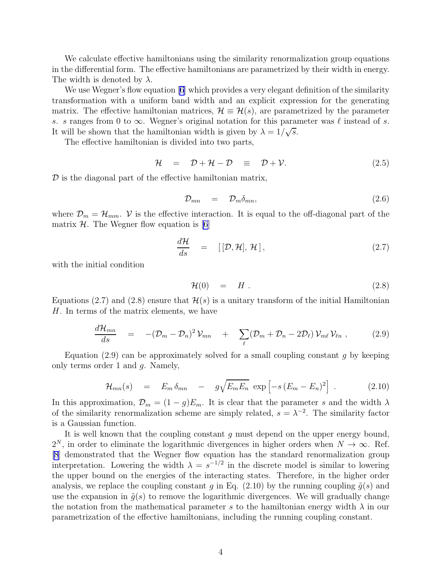We calculate effective hamiltonians using the similarity renormalization group equations in the differential form. The effective hamiltonians are parametrized by their width in energy. The width is denoted by  $\lambda$ .

We use Wegner's flow equation [\[6\]](#page-13-0) which provides a very elegant definition of the similarity transformation with a uniform band width and an explicit expression for the generating matrix. The effective hamiltonian matrices,  $\mathcal{H} \equiv \mathcal{H}(s)$ , are parametrized by the parameter s. s ranges from 0 to  $\infty$ . Wegner's original notation for this parameter was  $\ell$  instead of s. It will be shown that the hamiltonian width is given by  $\lambda = 1/\sqrt{s}$ .

The effective hamiltonian is divided into two parts,

$$
\mathcal{H} = \mathcal{D} + \mathcal{H} - \mathcal{D} \equiv \mathcal{D} + \mathcal{V}.
$$
 (2.5)

 $\mathcal D$  is the diagonal part of the effective hamiltonian matrix,

$$
\mathcal{D}_{mn} = \mathcal{D}_m \delta_{mn}, \qquad (2.6)
$$

where  $\mathcal{D}_m = \mathcal{H}_{mm}$ . V is the effective interaction. It is equal to the off-diagonal part of the matrix  $H$ . The Wegner flow equation is [\[6](#page-13-0)]

$$
\frac{d\mathcal{H}}{ds} = [[\mathcal{D}, \mathcal{H}], \mathcal{H}], \qquad (2.7)
$$

with the initial condition

$$
\mathcal{H}(0) = H. \tag{2.8}
$$

Equations (2.7) and (2.8) ensure that  $\mathcal{H}(s)$  is a unitary transform of the initial Hamiltonian H. In terms of the matrix elements, we have

$$
\frac{d\mathcal{H}_{mn}}{ds} = -(\mathcal{D}_m - \mathcal{D}_n)^2 \mathcal{V}_{mn} + \sum_{\ell} (\mathcal{D}_m + \mathcal{D}_n - 2\mathcal{D}_\ell) \mathcal{V}_{m\ell} \mathcal{V}_{\ell n} , \qquad (2.9)
$$

Equation (2.9) can be approximately solved for a small coupling constant g by keeping only terms order 1 and g. Namely,

$$
\mathcal{H}_{mn}(s) = E_m \, \delta_{mn} \quad - \quad g \sqrt{E_m E_n} \, \exp \left[ -s \left( E_m - E_n \right)^2 \right] \,. \tag{2.10}
$$

In this approximation,  $\mathcal{D}_m = (1 - g)E_m$ . It is clear that the parameter s and the width  $\lambda$ of the similarity renormalization scheme are simply related,  $s = \lambda^{-2}$ . The similarity factor is a Gaussian function.

It is well known that the coupling constant g must depend on the upper energy bound,  $2^N$ , in order to eliminate the logarithmic divergences in higher orders when  $N \to \infty$ . Ref. [\[8](#page-13-0)] demonstrated that the Wegner flow equation has the standard renormalization group interpretation. Lowering the width  $\lambda = s^{-1/2}$  in the discrete model is similar to lowering the upper bound on the energies of the interacting states. Therefore, in the higher order analysis, we replace the coupling constant g in Eq. (2.10) by the running coupling  $\tilde{g}(s)$  and use the expansion in  $\tilde{g}(s)$  to remove the logarithmic divergences. We will gradually change the notation from the mathematical parameter s to the hamiltonian energy width  $\lambda$  in our parametrization of the effective hamiltonians, including the running coupling constant.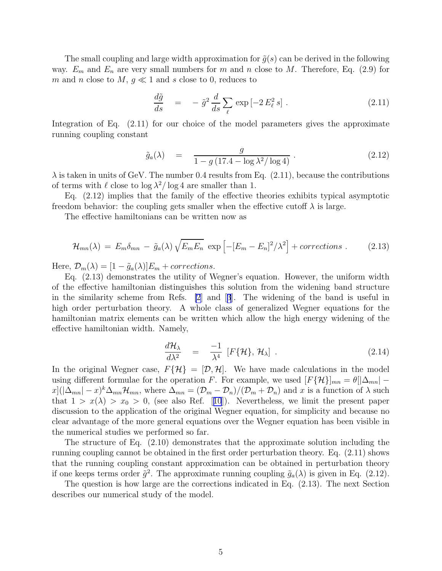The small coupling and large width approximation for  $\tilde{g}(s)$  can be derived in the following way.  $E_m$  and  $E_n$  are very small numbers for m and n close to M. Therefore, Eq. (2.9) for m and n close to M,  $q \ll 1$  and s close to 0, reduces to

$$
\frac{d\tilde{g}}{ds} = -\tilde{g}^2 \frac{d}{ds} \sum_{\ell} \exp\left[-2 E_{\ell}^2 s\right]. \tag{2.11}
$$

Integration of Eq. (2.11) for our choice of the model parameters gives the approximate running coupling constant

$$
\tilde{g}_a(\lambda) = \frac{g}{1 - g(17.4 - \log \lambda^2 / \log 4)}.
$$
\n(2.12)

 $\lambda$  is taken in units of GeV. The number 0.4 results from Eq. (2.11), because the contributions of terms with  $\ell$  close to  $\log \lambda^2 / \log 4$  are smaller than 1.

Eq.  $(2.12)$  implies that the family of the effective theories exhibits typical asymptotic freedom behavior: the coupling gets smaller when the effective cutoff  $\lambda$  is large.

The effective hamiltonians can be written now as

$$
\mathcal{H}_{mn}(\lambda) = E_m \delta_{mn} - \tilde{g}_a(\lambda) \sqrt{E_m E_n} \exp \left[ - [E_m - E_n]^2 / \lambda^2 \right] + corrections \quad (2.13)
$$

Here,  $\mathcal{D}_m(\lambda) = [1 - \tilde{g}_a(\lambda)]E_m + corrections.$ 

Eq. (2.13) demonstrates the utility of Wegner's equation. However, the uniform width of the effective hamiltonian distinguishes this solution from the widening band structure in the similarity scheme from Refs. [\[2](#page-12-0)] and[[3](#page-12-0)]. The widening of the band is useful in high order perturbation theory. A whole class of generalized Wegner equations for the hamiltonian matrix elements can be written which allow the high energy widening of the effective hamiltonian width. Namely,

$$
\frac{d\mathcal{H}_{\lambda}}{d\lambda^2} = \frac{-1}{\lambda^4} [F\{\mathcal{H}\}, \mathcal{H}_{\lambda}]. \qquad (2.14)
$$

In the original Wegner case,  $F\{\mathcal{H}\} = [\mathcal{D}, \mathcal{H}]$ . We have made calculations in the model using different formulae for the operation F. For example, we used  $[F\{\mathcal{H}\}]_{mn} = \theta[|\Delta_{mn}|$  $x\frac{1}{(\Delta_{mn} - x)^k \Delta_{mn} \mathcal{H}_{mn}}$ , where  $\Delta_{mn} = \frac{(\mathcal{D}_m - \mathcal{D}_n)}{(\mathcal{D}_m + \mathcal{D}_n)}$  and x is a function of  $\lambda$  such that $1 > x(\lambda) > x_0 > 0$ , (see also Ref. [[10](#page-13-0)]). Nevertheless, we limit the present paper discussion to the application of the original Wegner equation, for simplicity and because no clear advantage of the more general equations over the Wegner equation has been visible in the numerical studies we performed so far.

The structure of Eq. (2.10) demonstrates that the approximate solution including the running coupling cannot be obtained in the first order perturbation theory. Eq. (2.11) shows that the running coupling constant approximation can be obtained in perturbation theory if one keeps terms order  $\tilde{g}^2$ . The approximate running coupling  $\tilde{g}_a(\lambda)$  is given in Eq. (2.12).

The question is how large are the corrections indicated in Eq. (2.13). The next Section describes our numerical study of the model.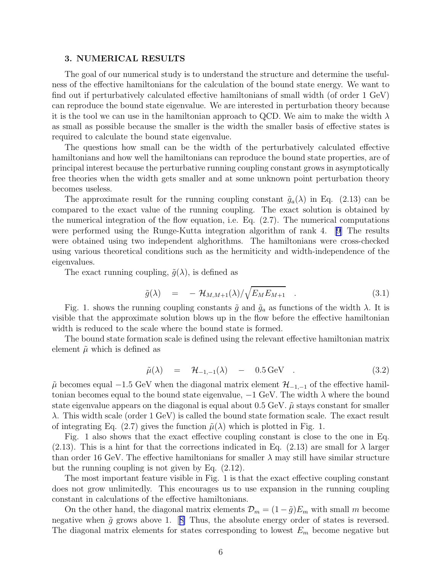### 3. NUMERICAL RESULTS

The goal of our numerical study is to understand the structure and determine the usefulness of the effective hamiltonians for the calculation of the bound state energy. We want to find out if perturbatively calculated effective hamiltonians of small width (of order 1 GeV) can reproduce the bound state eigenvalue. We are interested in perturbation theory because it is the tool we can use in the hamiltonian approach to QCD. We aim to make the width  $\lambda$ as small as possible because the smaller is the width the smaller basis of effective states is required to calculate the bound state eigenvalue.

The questions how small can be the width of the perturbatively calculated effective hamiltonians and how well the hamiltonians can reproduce the bound state properties, are of principal interest because the perturbative running coupling constant grows in asymptotically free theories when the width gets smaller and at some unknown point perturbation theory becomes useless.

The approximate result for the running coupling constant  $\tilde{g}_a(\lambda)$  in Eq. (2.13) can be compared to the exact value of the running coupling. The exact solution is obtained by the numerical integration of the flow equation, i.e. Eq. (2.7). The numerical computations were performed using the Runge-Kutta integration algorithm of rank 4. [\[9](#page-13-0)] The results were obtained using two independent alghorithms. The hamiltonians were cross-checked using various theoretical conditions such as the hermiticity and width-independence of the eigenvalues.

The exact running coupling,  $\tilde{g}(\lambda)$ , is defined as

$$
\tilde{g}(\lambda) = -\mathcal{H}_{M,M+1}(\lambda) / \sqrt{E_M E_{M+1}} \quad . \tag{3.1}
$$

Fig. 1. shows the running coupling constants  $\tilde{g}$  and  $\tilde{g}_a$  as functions of the width  $\lambda$ . It is visible that the approximate solution blows up in the flow before the effective hamiltonian width is reduced to the scale where the bound state is formed.

The bound state formation scale is defined using the relevant effective hamiltonian matrix element  $\tilde{\mu}$  which is defined as

$$
\tilde{\mu}(\lambda) = \mathcal{H}_{-1,-1}(\lambda) - 0.5 \,\text{GeV} \quad . \tag{3.2}
$$

 $\tilde{\mu}$  becomes equal −1.5 GeV when the diagonal matrix element  $\mathcal{H}_{-1,-1}$  of the effective hamiltonian becomes equal to the bound state eigenvalue,  $-1$  GeV. The width  $\lambda$  where the bound state eigenvalue appears on the diagonal is equal about 0.5 GeV.  $\tilde{\mu}$  stays constant for smaller λ. This width scale (order 1 GeV) is called the bound state formation scale. The exact result of integrating Eq. (2.7) gives the function  $\tilde{\mu}(\lambda)$  which is plotted in Fig. 1.

Fig. 1 also shows that the exact effective coupling constant is close to the one in Eq. (2.13). This is a hint for that the corrections indicated in Eq. (2.13) are small for  $\lambda$  larger than order 16 GeV. The effective hamiltonians for smaller  $\lambda$  may still have similar structure but the running coupling is not given by Eq. (2.12).

The most important feature visible in Fig. 1 is that the exact effective coupling constant does not grow unlimitedly. This encourages us to use expansion in the running coupling constant in calculations of the effective hamiltonians.

On the other hand, the diagonal matrix elements  $\mathcal{D}_m = (1 - \tilde{g})E_m$  with small m become negativewhen  $\tilde{g}$  grows above 1. [[8\]](#page-13-0) Thus, the absolute energy order of states is reversed. The diagonal matrix elements for states corresponding to lowest  $E_m$  become negative but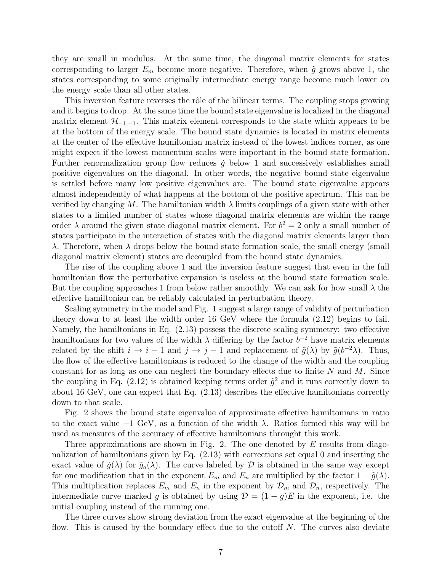they are small in modulus. At the same time, the diagonal matrix elements for states corresponding to larger  $E_m$  become more negative. Therefore, when  $\tilde{g}$  grows above 1, the states corresponding to some originally intermediate energy range become much lower on the energy scale than all other states.

This inversion feature reverses the rôle of the bilinear terms. The coupling stops growing and it begins to drop. At the same time the bound state eigenvalue is localized in the diagonal matrix element  $\mathcal{H}_{-1,-1}$ . This matrix element corresponds to the state which appears to be at the bottom of the energy scale. The bound state dynamics is located in matrix elements at the center of the effective hamiltonian matrix instead of the lowest indices corner, as one might expect if the lowest momentum scales were important in the bound state formation. Further renormalization group flow reduces  $\tilde{q}$  below 1 and successively establishes small positive eigenvalues on the diagonal. In other words, the negative bound state eigenvalue is settled before many low positive eigenvalues are. The bound state eigenvalue appears almost independently of what happens at the bottom of the positive spectrum. This can be verified by changing M. The hamiltonian width  $\lambda$  limits couplings of a given state with other states to a limited number of states whose diagonal matrix elements are within the range order  $\lambda$  around the given state diagonal matrix element. For  $b^2 = 2$  only a small number of states participate in the interaction of states with the diagonal matrix elements larger than  $\lambda$ . Therefore, when  $\lambda$  drops below the bound state formation scale, the small energy (small diagonal matrix element) states are decoupled from the bound state dynamics.

The rise of the coupling above 1 and the inversion feature suggest that even in the full hamiltonian flow the perturbative expansion is useless at the bound state formation scale. But the coupling approaches 1 from below rather smoothly. We can ask for how small  $\lambda$  the effective hamiltonian can be reliably calculated in perturbation theory.

Scaling symmetry in the model and Fig. 1 suggest a large range of validity of perturbation theory down to at least the width order 16 GeV where the formula (2.12) begins to fail. Namely, the hamiltonians in Eq. (2.13) possess the discrete scaling symmetry: two effective hamiltonians for two values of the width  $\lambda$  differing by the factor  $b^{-2}$  have matrix elements related by the shift  $i \to i - 1$  and  $j \to j - 1$  and replacement of  $\tilde{g}(\lambda)$  by  $\tilde{g}(b^{-2}\lambda)$ . Thus, the flow of the effective hamiltonians is reduced to the change of the width and the coupling constant for as long as one can neglect the boundary effects due to finite  $N$  and  $M$ . Since the coupling in Eq. (2.12) is obtained keeping terms order  $\tilde{g}^2$  and it runs correctly down to about 16 GeV, one can expect that Eq. (2.13) describes the effective hamiltonians correctly down to that scale.

Fig. 2 shows the bound state eigenvalue of approximate effective hamiltonians in ratio to the exact value −1 GeV, as a function of the width  $\lambda$ . Ratios formed this way will be used as measures of the accuracy of effective hamiltonians throught this work.

Three approximations are shown in Fig. 2. The one denoted by  $E$  results from diagonalization of hamiltonians given by Eq. (2.13) with corrections set equal 0 and inserting the exact value of  $\tilde{g}(\lambda)$  for  $\tilde{g}_a(\lambda)$ . The curve labeled by  $\mathcal D$  is obtained in the same way except for one modification that in the exponent  $E_m$  and  $E_n$  are multiplied by the factor  $1 - \tilde{g}(\lambda)$ . This multiplication replaces  $E_m$  and  $E_n$  in the exponent by  $\mathcal{D}_m$  and  $\mathcal{D}_n$ , respectively. The intermediate curve marked g is obtained by using  $\mathcal{D} = (1 - g)E$  in the exponent, i.e. the initial coupling instead of the running one.

The three curves show strong deviation from the exact eigenvalue at the beginning of the flow. This is caused by the boundary effect due to the cutoff  $N$ . The curves also deviate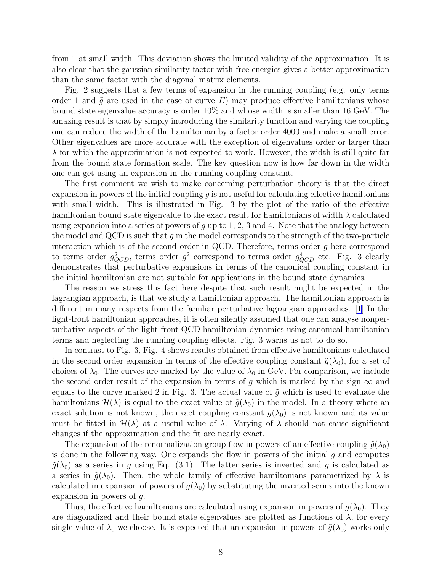from 1 at small width. This deviation shows the limited validity of the approximation. It is also clear that the gaussian similarity factor with free energies gives a better approximation than the same factor with the diagonal matrix elements.

Fig. 2 suggests that a few terms of expansion in the running coupling (e.g. only terms order 1 and  $\tilde{g}$  are used in the case of curve E) may produce effective hamiltonians whose bound state eigenvalue accuracy is order 10% and whose width is smaller than 16 GeV. The amazing result is that by simply introducing the similarity function and varying the coupling one can reduce the width of the hamiltonian by a factor order 4000 and make a small error. Other eigenvalues are more accurate with the exception of eigenvalues order or larger than  $\lambda$  for which the approximation is not expected to work. However, the width is still quite far from the bound state formation scale. The key question now is how far down in the width one can get using an expansion in the running coupling constant.

The first comment we wish to make concerning perturbation theory is that the direct expansion in powers of the initial coupling  $g$  is not useful for calculating effective hamiltonians with small width. This is illustrated in Fig. 3 by the plot of the ratio of the effective hamiltonian bound state eigenvalue to the exact result for hamiltonians of width  $\lambda$  calculated using expansion into a series of powers of  $g$  up to 1, 2, 3 and 4. Note that the analogy between the model and QCD is such that  $q$  in the model corresponds to the strength of the two-particle interaction which is of the second order in QCD. Therefore, terms order  $q$  here correspond to terms order  $g_{QCD}^2$ , terms order  $g^2$  correspond to terms order  $g_{QCD}^4$  etc. Fig. 3 clearly demonstrates that perturbative expansions in terms of the canonical coupling constant in the initial hamiltonian are not suitable for applications in the bound state dynamics.

The reason we stress this fact here despite that such result might be expected in the lagrangian approach, is that we study a hamiltonian approach. The hamiltonian approach is different in many respects from the familiar perturbative lagrangian approaches. [\[1](#page-12-0)] In the light-front hamiltonian approaches, it is often silently assumed that one can analyse nonperturbative aspects of the light-front QCD hamiltonian dynamics using canonical hamiltonian terms and neglecting the running coupling effects. Fig. 3 warns us not to do so.

In contrast to Fig. 3, Fig. 4 shows results obtained from effective hamiltonians calculated in the second order expansion in terms of the effective coupling constant  $\tilde{g}(\lambda_0)$ , for a set of choices of  $\lambda_0$ . The curves are marked by the value of  $\lambda_0$  in GeV. For comparison, we include the second order result of the expansion in terms of g which is marked by the sign  $\infty$  and equals to the curve marked 2 in Fig. 3. The actual value of  $\tilde{g}$  which is used to evaluate the hamiltonians  $\mathcal{H}(\lambda)$  is equal to the exact value of  $\tilde{g}(\lambda_0)$  in the model. In a theory where an exact solution is not known, the exact coupling constant  $\tilde{g}(\lambda_0)$  is not known and its value must be fitted in  $\mathcal{H}(\lambda)$  at a useful value of  $\lambda$ . Varying of  $\lambda$  should not cause significant changes if the approximation and the fit are nearly exact.

The expansion of the renormalization group flow in powers of an effective coupling  $\tilde{q}(\lambda_0)$ is done in the following way. One expands the flow in powers of the initial  $g$  and computes  $\tilde{g}(\lambda_0)$  as a series in g using Eq. (3.1). The latter series is inverted and g is calculated as a series in  $\tilde{g}(\lambda_0)$ . Then, the whole family of effective hamiltonians parametrized by  $\lambda$  is calculated in expansion of powers of  $\tilde{g}(\lambda_0)$  by substituting the inverted series into the known expansion in powers of g.

Thus, the effective hamiltonians are calculated using expansion in powers of  $\tilde{g}(\lambda_0)$ . They are diagonalized and their bound state eigenvalues are plotted as functions of  $\lambda$ , for every single value of  $\lambda_0$  we choose. It is expected that an expansion in powers of  $\tilde{g}(\lambda_0)$  works only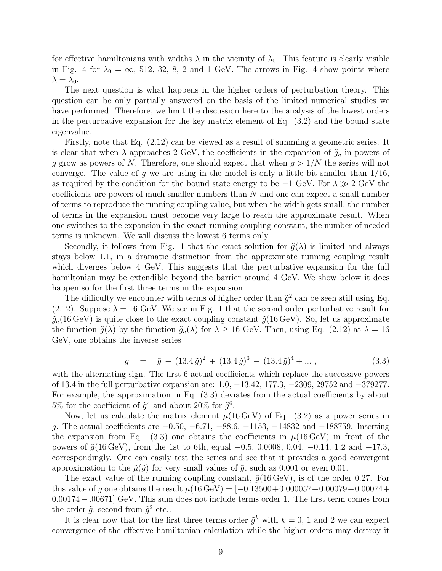for effective hamiltonians with widths  $\lambda$  in the vicinity of  $\lambda_0$ . This feature is clearly visible in Fig. 4 for  $\lambda_0 = \infty$ , 512, 32, 8, 2 and 1 GeV. The arrows in Fig. 4 show points where  $\lambda = \lambda_0$ .

The next question is what happens in the higher orders of perturbation theory. This question can be only partially answered on the basis of the limited numerical studies we have performed. Therefore, we limit the discussion here to the analysis of the lowest orders in the perturbative expansion for the key matrix element of Eq.  $(3.2)$  and the bound state eigenvalue.

Firstly, note that Eq. (2.12) can be viewed as a result of summing a geometric series. It is clear that when  $\lambda$  approaches 2 GeV, the coefficients in the expansion of  $\tilde{g}_a$  in powers of q grow as powers of N. Therefore, one should expect that when  $q > 1/N$  the series will not converge. The value of g we are using in the model is only a little bit smaller than  $1/16$ , as required by the condition for the bound state energy to be  $-1$  GeV. For  $\lambda \gg 2$  GeV the coefficients are powers of much smaller numbers than N and one can expect a small number of terms to reproduce the running coupling value, but when the width gets small, the number of terms in the expansion must become very large to reach the approximate result. When one switches to the expansion in the exact running coupling constant, the number of needed terms is unknown. We will discuss the lowest 6 terms only.

Secondly, it follows from Fig. 1 that the exact solution for  $\tilde{q}(\lambda)$  is limited and always stays below 1.1, in a dramatic distinction from the approximate running coupling result which diverges below 4 GeV. This suggests that the perturbative expansion for the full hamiltonian may be extendible beyond the barrier around 4 GeV. We show below it does happen so for the first three terms in the expansion.

The difficulty we encounter with terms of higher order than  $\tilde{g}^2$  can be seen still using Eq. (2.12). Suppose  $\lambda = 16$  GeV. We see in Fig. 1 that the second order perturbative result for  $\tilde{g}_a(16 \,\text{GeV})$  is quite close to the exact coupling constant  $\tilde{g}(16 \,\text{GeV})$ . So, let us approximate the function  $\tilde{g}(\lambda)$  by the function  $\tilde{g}_a(\lambda)$  for  $\lambda \ge 16$  GeV. Then, using Eq. (2.12) at  $\lambda = 16$ GeV, one obtains the inverse series

$$
g = \tilde{g} - (13.4 \tilde{g})^2 + (13.4 \tilde{g})^3 - (13.4 \tilde{g})^4 + \dots, \qquad (3.3)
$$

with the alternating sign. The first 6 actual coefficients which replace the successive powers of 13.4 in the full perturbative expansion are: 1.0, −13.42, 177.3, −2309, 29752 and −379277. For example, the approximation in Eq. (3.3) deviates from the actual coefficients by about 5% for the coefficient of  $\tilde{g}^4$  and about 20% for  $\tilde{g}^6$ .

Now, let us calculate the matrix element  $\tilde{\mu}$ (16 GeV) of Eq. (3.2) as a power series in g. The actual coefficients are −0.50, −6.71, −88.6, −1153, −14832 and −188759. Inserting the expansion from Eq. (3.3) one obtains the coefficients in  $\tilde{\mu}$ (16 GeV) in front of the powers of  $\tilde{g}(16 \,\text{GeV})$ , from the 1st to 6th, equal  $-0.5$ , 0.0008, 0.04,  $-0.14$ , 1.2 and  $-17.3$ , correspondingly. One can easily test the series and see that it provides a good convergent approximation to the  $\tilde{\mu}(\tilde{q})$  for very small values of  $\tilde{q}$ , such as 0.001 or even 0.01.

The exact value of the running coupling constant,  $\tilde{g}(16 \,\text{GeV})$ , is of the order 0.27. For this value of  $\tilde{g}$  one obtains the result  $\tilde{\mu}$ (16 GeV) = [-0.13500+0.000057+0.00079 -0.00074+ 0.00174 − .00671] GeV. This sum does not include terms order 1. The first term comes from the order  $\tilde{g}$ , second from  $\tilde{g}^2$  etc..

It is clear now that for the first three terms order  $\tilde{g}^k$  with  $k = 0, 1$  and 2 we can expect convergence of the effective hamiltonian calculation while the higher orders may destroy it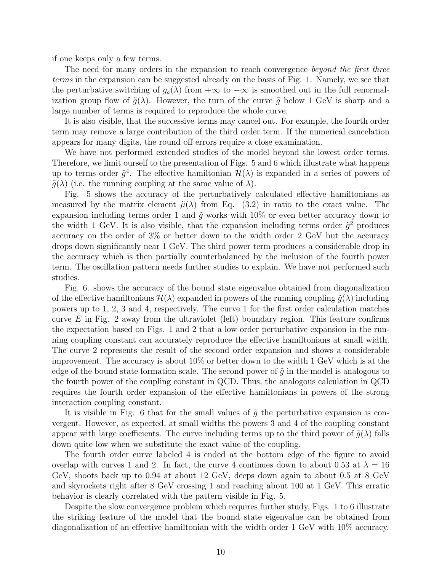if one keeps only a few terms.

The need for many orders in the expansion to reach convergence beyond the first three terms in the expansion can be suggested already on the basis of Fig. 1. Namely, we see that the perturbative switching of  $g_a(\lambda)$  from  $+\infty$  to  $-\infty$  is smoothed out in the full renormalization group flow of  $\tilde{g}(\lambda)$ . However, the turn of the curve  $\tilde{g}$  below 1 GeV is sharp and a large number of terms is required to reproduce the whole curve.

It is also visible, that the successive terms may cancel out. For example, the fourth order term may remove a large contribution of the third order term. If the numerical cancelation appears for many digits, the round off errors require a close examination.

We have not performed extended studies of the model beyond the lowest order terms. Therefore, we limit ourself to the presentation of Figs. 5 and 6 which illustrate what happens up to terms order  $\tilde{g}^4$ . The effective hamiltonian  $\mathcal{H}(\lambda)$  is expanded in a series of powers of  $\tilde{g}(\lambda)$  (i.e. the running coupling at the same value of  $\lambda$ ).

Fig. 5 shows the accuracy of the perturbatively calculated effective hamiltonians as measured by the matrix element  $\tilde{\mu}(\lambda)$  from Eq. (3.2) in ratio to the exact value. The expansion including terms order 1 and  $\tilde{g}$  works with 10% or even better accuracy down to the width 1 GeV. It is also visible, that the expansion including terms order  $\tilde{g}^2$  produces accuracy on the order of 3% or better down to the width order 2 GeV but the accuracy drops down significantly near 1 GeV. The third power term produces a considerable drop in the accuracy which is then partially counterbalanced by the inclusion of the fourth power term. The oscillation pattern needs further studies to explain. We have not performed such studies.

Fig. 6. shows the accuracy of the bound state eigenvalue obtained from diagonalization of the effective hamiltonians  $\mathcal{H}(\lambda)$  expanded in powers of the running coupling  $\tilde{g}(\lambda)$  including powers up to 1, 2, 3 and 4, respectively. The curve 1 for the first order calculation matches curve  $E$  in Fig. 2 away from the ultraviolet (left) boundary region. This feature confirms the expectation based on Figs. 1 and 2 that a low order perturbative expansion in the running coupling constant can accurately reproduce the effective hamiltonians at small width. The curve 2 represents the result of the second order expansion and shows a considerable improvement. The accuracy is about 10% or better down to the width 1 GeV which is at the edge of the bound state formation scale. The second power of  $\tilde{g}$  in the model is analogous to the fourth power of the coupling constant in QCD. Thus, the analogous calculation in QCD requires the fourth order expansion of the effective hamiltonians in powers of the strong interaction coupling constant.

It is visible in Fig. 6 that for the small values of  $\tilde{g}$  the perturbative expansion is convergent. However, as expected, at small widths the powers 3 and 4 of the coupling constant appear with large coefficients. The curve including terms up to the third power of  $\tilde{g}(\lambda)$  falls down quite low when we substitute the exact value of the coupling.

The fourth order curve labeled 4 is ended at the bottom edge of the figure to avoid overlap with curves 1 and 2. In fact, the curve 4 continues down to about 0.53 at  $\lambda = 16$ GeV, shoots back up to 0.94 at about 12 GeV, deeps down again to about 0.5 at 8 GeV and skyrockets right after 8 GeV crossing 1 and reaching about 100 at 1 GeV. This erratic behavior is clearly correlated with the pattern visible in Fig. 5.

Despite the slow convergence problem which requires further study, Figs. 1 to 6 illustrate the striking feature of the model that the bound state eigenvalue can be obtained from diagonalization of an effective hamiltonian with the width order 1 GeV with 10% accuracy.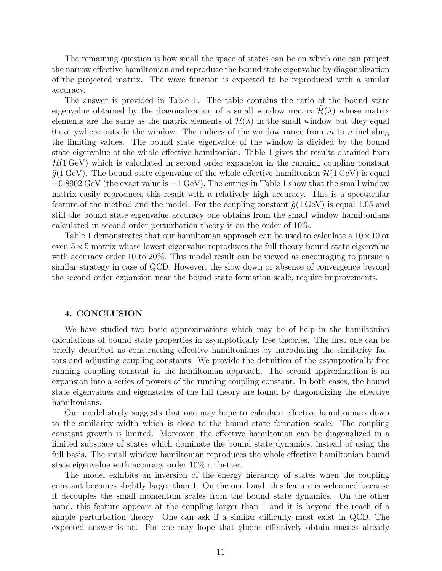The remaining question is how small the space of states can be on which one can project the narrow effective hamiltonian and reproduce the bound state eigenvalue by diagonalization of the projected matrix. The wave function is expected to be reproduced with a similar accuracy.

The answer is provided in Table 1. The table contains the ratio of the bound state eigenvalue obtained by the diagonalization of a small window matrix  $\mathcal{H}(\lambda)$  whose matrix elements are the same as the matrix elements of  $\mathcal{H}(\lambda)$  in the small window but they equal 0 everywhere outside the window. The indices of the window range from  $\tilde{m}$  to  $\tilde{n}$  including the limiting values. The bound state eigenvalue of the window is divided by the bound state eigenvalue of the whole effective hamiltonian. Table 1 gives the results obtained from  $H(1 \text{ GeV})$  which is calculated in second order expansion in the running coupling constant  $\tilde{g}(1 \,\text{GeV})$ . The bound state eigenvalue of the whole effective hamiltonian  $\mathcal{H}(1 \,\text{GeV})$  is equal −0.8902 GeV (the exact value is −1 GeV). The entries in Table 1 show that the small window matrix easily reproduces this result with a relatively high accuracy. This is a spectacular feature of the method and the model. For the coupling constant  $\tilde{q}(1 \text{ GeV})$  is equal 1.05 and still the bound state eigenvalue accuracy one obtains from the small window hamiltonians calculated in second order perturbation theory is on the order of 10%.

Table 1 demonstrates that our hamiltonian approach can be used to calculate a  $10 \times 10$  or even  $5 \times 5$  matrix whose lowest eigenvalue reproduces the full theory bound state eigenvalue with accuracy order 10 to 20%. This model result can be viewed as encouraging to pursue a similar strategy in case of QCD. However, the slow down or absence of convergence beyond the second order expansion near the bound state formation scale, require improvements.

### 4. CONCLUSION

We have studied two basic approximations which may be of help in the hamiltonian calculations of bound state properties in asymptotically free theories. The first one can be briefly described as constructing effective hamiltonians by introducing the similarity factors and adjusting coupling constants. We provide the definition of the asymptotically free running coupling constant in the hamiltonian approach. The second approximation is an expansion into a series of powers of the running coupling constant. In both cases, the bound state eigenvalues and eigenstates of the full theory are found by diagonalizing the effective hamiltonians.

Our model study suggests that one may hope to calculate effective hamiltonians down to the similarity width which is close to the bound state formation scale. The coupling constant growth is limited. Moreover, the effective hamiltonian can be diagonalized in a limited subspace of states which dominate the bound state dynamics, instead of using the full basis. The small window hamiltonian reproduces the whole effective hamiltonian bound state eigenvalue with accuracy order 10% or better.

The model exhibits an inversion of the energy hierarchy of states when the coupling constant becomes slightly larger than 1. On the one hand, this feature is welcomed because it decouples the small momentum scales from the bound state dynamics. On the other hand, this feature appears at the coupling larger than 1 and it is beyond the reach of a simple perturbation theory. One can ask if a similar difficulty must exist in QCD. The expected answer is no. For one may hope that gluons effectively obtain masses already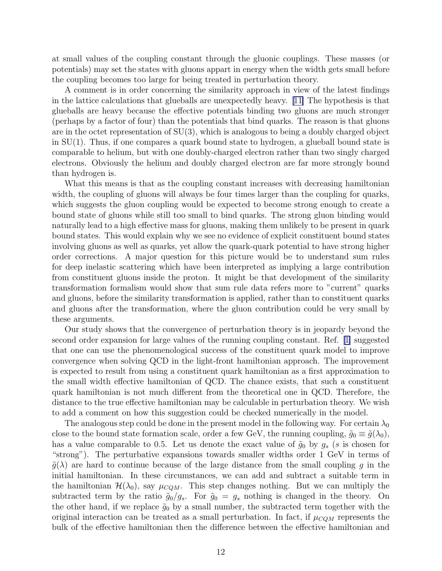at small values of the coupling constant through the gluonic couplings. These masses (or potentials) may set the states with gluons appart in energy when the width gets small before the coupling becomes too large for being treated in perturbation theory.

A comment is in order concerning the similarity approach in view of the latest findings in the lattice calculations that glueballs are unexpectedly heavy. [\[11\]](#page-13-0) The hypothesis is that glueballs are heavy because the effective potentials binding two gluons are much stronger (perhaps by a factor of four) than the potentials that bind quarks. The reason is that gluons are in the octet representation of  $SU(3)$ , which is analogous to being a doubly charged object in SU(1). Thus, if one compares a quark bound state to hydrogen, a glueball bound state is comparable to helium, but with one doubly-charged electron rather than two singly charged electrons. Obviously the helium and doubly charged electron are far more strongly bound than hydrogen is.

What this means is that as the coupling constant increases with decreasing hamiltonian width, the coupling of gluons will always be four times larger than the coupling for quarks, which suggests the gluon coupling would be expected to become strong enough to create a bound state of gluons while still too small to bind quarks. The strong gluon binding would naturally lead to a high effective mass for gluons, making them unlikely to be present in quark bound states. This would explain why we see no evidence of explicit constituent bound states involving gluons as well as quarks, yet allow the quark-quark potential to have strong higher order corrections. A major question for this picture would be to understand sum rules for deep inelastic scattering which have been interpreted as implying a large contribution from constituent gluons inside the proton. It might be that development of the similarity transformation formalism would show that sum rule data refers more to "current" quarks and gluons, before the similarity transformation is applied, rather than to constituent quarks and gluons after the transformation, where the gluon contribution could be very small by these arguments.

Our study shows that the convergence of perturbation theory is in jeopardy beyond the second order expansion for large values of the running coupling constant. Ref. [\[1\]](#page-12-0) suggested that one can use the phenomenological success of the constituent quark model to improve convergence when solving QCD in the light-front hamiltonian approach. The improvement is expected to result from using a constituent quark hamiltonian as a first approximation to the small width effective hamiltonian of QCD. The chance exists, that such a constituent quark hamiltonian is not much different from the theoretical one in QCD. Therefore, the distance to the true effective hamiltonian may be calculable in perturbation theory. We wish to add a comment on how this suggestion could be checked numerically in the model.

The analogous step could be done in the present model in the following way. For certain  $\lambda_0$ close to the bound state formation scale, order a few GeV, the running coupling,  $\tilde{g}_0 \equiv \tilde{g}(\lambda_0)$ , has a value comparable to 0.5. Let us denote the exact value of  $\tilde{g}_0$  by  $g_s$  (s is chosen for "strong"). The perturbative expansions towards smaller widths order 1 GeV in terms of  $\tilde{g}(\lambda)$  are hard to continue because of the large distance from the small coupling g in the initial hamiltonian. In these circumstances, we can add and subtract a suitable term in the hamiltonian  $\mathcal{H}(\lambda_0)$ , say  $\mu_{CQM}$ . This step changes nothing. But we can multiply the subtracted term by the ratio  $\tilde{g}_0/g_s$ . For  $\tilde{g}_0 = g_s$  nothing is changed in the theory. On the other hand, if we replace  $\tilde{g}_0$  by a small number, the subtracted term together with the original interaction can be treated as a small perturbation. In fact, if  $\mu_{CQM}$  represents the bulk of the effective hamiltonian then the difference between the effective hamiltonian and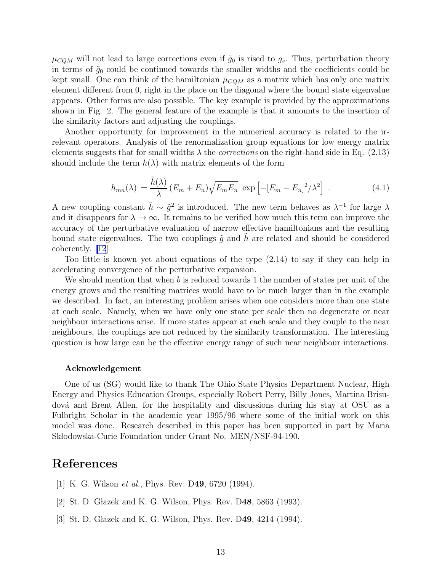<span id="page-12-0"></span> $\mu_{CQM}$  will not lead to large corrections even if  $\tilde{g}_0$  is rised to  $g_s$ . Thus, perturbation theory in terms of  $\tilde{g}_0$  could be continued towards the smaller widths and the coefficients could be kept small. One can think of the hamiltonian  $\mu_{COM}$  as a matrix which has only one matrix element different from 0, right in the place on the diagonal where the bound state eigenvalue appears. Other forms are also possible. The key example is provided by the approximations shown in Fig. 2. The general feature of the example is that it amounts to the insertion of the similarity factors and adjusting the couplings.

Another opportunity for improvement in the numerical accuracy is related to the irrelevant operators. Analysis of the renormalization group equations for low energy matrix elements suggests that for small widths  $\lambda$  the *corrections* on the right-hand side in Eq. (2.13) should include the term  $h(\lambda)$  with matrix elements of the form

$$
h_{mn}(\lambda) = \frac{\tilde{h}(\lambda)}{\lambda} (E_m + E_n) \sqrt{E_m E_n} \exp \left[ -[E_m - E_n]^2 / \lambda^2 \right] \,. \tag{4.1}
$$

A new coupling constant  $\tilde{h} \sim \tilde{g}^2$  is introduced. The new term behaves as  $\lambda^{-1}$  for large  $\lambda$ and it disappears for  $\lambda \to \infty$ . It remains to be verified how much this term can improve the accuracy of the perturbative evaluation of narrow effective hamiltonians and the resulting bound state eigenvalues. The two couplings  $\tilde{g}$  and h are related and should be considered coherently. [\[12](#page-13-0)]

Too little is known yet about equations of the type (2.14) to say if they can help in accelerating convergence of the perturbative expansion.

We should mention that when b is reduced towards 1 the number of states per unit of the energy grows and the resulting matrices would have to be much larger than in the example we described. In fact, an interesting problem arises when one considers more than one state at each scale. Namely, when we have only one state per scale then no degenerate or near neighbour interactions arise. If more states appear at each scale and they couple to the near neighbours, the couplings are not reduced by the similarity transformation. The interesting question is how large can be the effective energy range of such near neighbour interactions.

### Acknowledgement

One of us (SG) would like to thank The Ohio State Physics Department Nuclear, High Energy and Physics Education Groups, especially Robert Perry, Billy Jones, Martina Brisudov´a and Brent Allen, for the hospitality and discussions during his stay at OSU as a Fulbright Scholar in the academic year 1995/96 where some of the initial work on this model was done. Research described in this paper has been supported in part by Maria Sk lodowska-Curie Foundation under Grant No. MEN/NSF-94-190.

## References

- [1] K. G. Wilson et al., Phys. Rev. D49, 6720 (1994).
- [2] St. D. Glazek and K. G. Wilson, Phys. Rev. D48, 5863 (1993).
- [3] St. D. Glazek and K. G. Wilson, Phys. Rev. D49, 4214 (1994).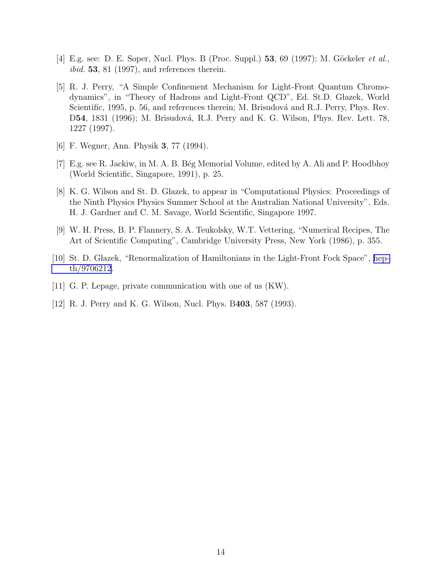- <span id="page-13-0"></span>[4] E.g. see: D. E. Soper, Nucl. Phys. B (Proc. Suppl.) **53**, 69 (1997); M. Göckeler *et al.*, ibid. 53, 81 (1997), and references therein.
- [5] R. J. Perry, "A Simple Confinement Mechanism for Light-Front Quantum Chromodynamics", in "Theory of Hadrons and Light-Front QCD", Ed. St.D. Glazek, World Scientific, 1995, p. 56, and references therein; M. Brisudová and R.J. Perry, Phys. Rev. D54, 1831 (1996); M. Brisudová, R.J. Perry and K. G. Wilson, Phys. Rev. Lett. 78, 1227 (1997).
- [6] F. Wegner, Ann. Physik 3, 77 (1994).
- [7] E.g. see R. Jackiw, in M. A. B. Bég Memorial Volume, edited by A. Ali and P. Hoodbhoy (World Scientific, Singapore, 1991), p. 25.
- [8] K. G. Wilson and St. D. Glazek, to appear in "Computational Physics: Proceedings of the Ninth Physics Physics Summer School at the Australian National University", Eds. H. J. Gardner and C. M. Savage, World Scientific, Singapore 1997.
- [9] W. H. Press, B. P. Flannery, S. A. Teukolsky, W.T. Vettering, "Numerical Recipes, The Art of Scientific Computing", Cambridge University Press, New York (1986), p. 355.
- [10] St. D. Głazek, "Renormalization of Hamiltonians in the Light-Front Fock Space", [hep](http://arxiv.org/abs/hep-th/9706212)[th/9706212](http://arxiv.org/abs/hep-th/9706212).
- [11] G. P. Lepage, private communication with one of us (KW).
- [12] R. J. Perry and K. G. Wilson, Nucl. Phys. B403, 587 (1993).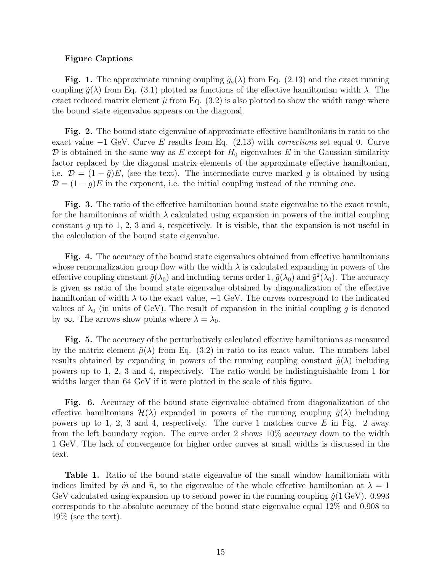### Figure Captions

**Fig. 1.** The approximate running coupling  $\tilde{g}_a(\lambda)$  from Eq. (2.13) and the exact running coupling  $\tilde{g}(\lambda)$  from Eq. (3.1) plotted as functions of the effective hamiltonian width  $\lambda$ . The exact reduced matrix element  $\tilde{\mu}$  from Eq. (3.2) is also plotted to show the width range where the bound state eigenvalue appears on the diagonal.

Fig. 2. The bound state eigenvalue of approximate effective hamiltonians in ratio to the exact value  $-1$  GeV. Curve E results from Eq. (2.13) with *corrections* set equal 0. Curve  $\mathcal D$  is obtained in the same way as E except for  $H_0$  eigenvalues E in the Gaussian similarity factor replaced by the diagonal matrix elements of the approximate effective hamiltonian, i.e.  $\mathcal{D} = (1 - \tilde{g})E$ , (see the text). The intermediate curve marked g is obtained by using  $\mathcal{D} = (1 - g)E$  in the exponent, i.e. the initial coupling instead of the running one.

Fig. 3. The ratio of the effective hamiltonian bound state eigenvalue to the exact result, for the hamiltonians of width  $\lambda$  calculated using expansion in powers of the initial coupling constant  $g$  up to 1, 2, 3 and 4, respectively. It is visible, that the expansion is not useful in the calculation of the bound state eigenvalue.

**Fig. 4.** The accuracy of the bound state eigenvalues obtained from effective hamiltonians whose renormalization group flow with the width  $\lambda$  is calculated expanding in powers of the effective coupling constant  $\tilde{g}(\lambda_0)$  and including terms order 1,  $\tilde{g}(\lambda_0)$  and  $\tilde{g}^2(\lambda_0)$ . The accuracy is given as ratio of the bound state eigenvalue obtained by diagonalization of the effective hamiltonian of width  $\lambda$  to the exact value,  $-1$  GeV. The curves correspond to the indicated values of  $\lambda_0$  (in units of GeV). The result of expansion in the initial coupling g is denoted by  $\infty$ . The arrows show points where  $\lambda = \lambda_0$ .

Fig. 5. The accuracy of the perturbatively calculated effective hamiltonians as measured by the matrix element  $\tilde{\mu}(\lambda)$  from Eq. (3.2) in ratio to its exact value. The numbers label results obtained by expanding in powers of the running coupling constant  $\tilde{g}(\lambda)$  including powers up to 1, 2, 3 and 4, respectively. The ratio would be indistinguishable from 1 for widths larger than 64 GeV if it were plotted in the scale of this figure.

Fig. 6. Accuracy of the bound state eigenvalue obtained from diagonalization of the effective hamiltonians  $\mathcal{H}(\lambda)$  expanded in powers of the running coupling  $\tilde{q}(\lambda)$  including powers up to 1, 2, 3 and 4, respectively. The curve 1 matches curve  $E$  in Fig. 2 away from the left boundary region. The curve order 2 shows 10% accuracy down to the width 1 GeV. The lack of convergence for higher order curves at small widths is discussed in the text.

Table 1. Ratio of the bound state eigenvalue of the small window hamiltonian with indices limited by  $\tilde{m}$  and  $\tilde{n}$ , to the eigenvalue of the whole effective hamiltonian at  $\lambda = 1$ GeV calculated using expansion up to second power in the running coupling  $\tilde{q}(1 \text{ GeV})$ . 0.993 corresponds to the absolute accuracy of the bound state eigenvalue equal 12% and 0.908 to 19% (see the text).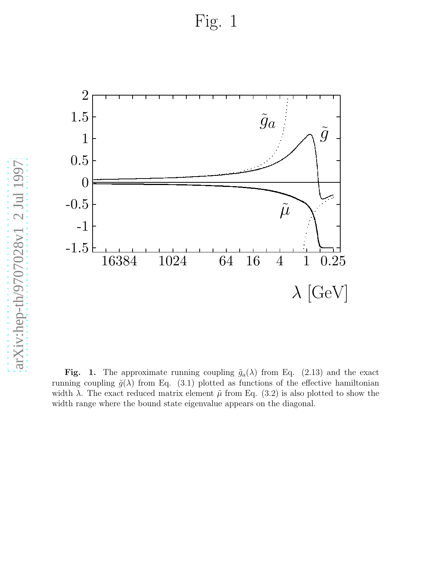

Fig. 1. The approximate running coupling  $\tilde{g}_a(\lambda)$  from Eq. (2.13) and the exact running coupling  $\tilde{g}(\lambda)$  from Eq. (3.1) plotted as functions of the effective hamiltonian width  $\lambda$ . The exact reduced matrix element  $\tilde{\mu}$  from Eq. (3.2) is also plotted to show the width range where the bound state eigenvalue appears on the diagonal.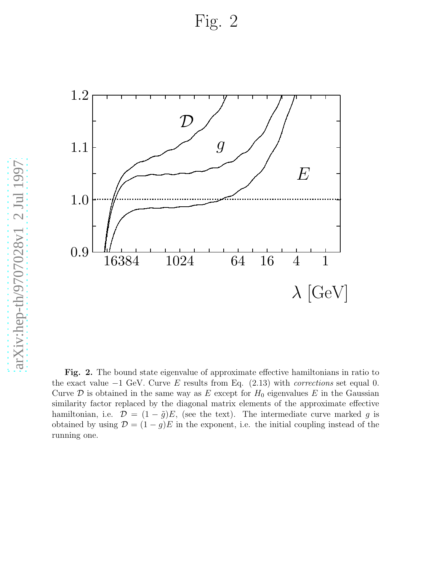

Fig. 2. The bound state eigenvalue of approximate effective hamiltonians in ratio to the exact value  $-1$  GeV. Curve E results from Eq. (2.13) with *corrections* set equal 0. Curve  $\mathcal D$  is obtained in the same way as  $E$  except for  $H_0$  eigenvalues  $E$  in the Gaussian similarity factor replaced by the diagonal matrix elements of the approximate effective hamiltonian, i.e.  $\mathcal{D} = (1 - \tilde{g})E$ , (see the text). The intermediate curve marked g is obtained by using  $\mathcal{D} = (1 - g)E$  in the exponent, i.e. the initial coupling instead of the running one.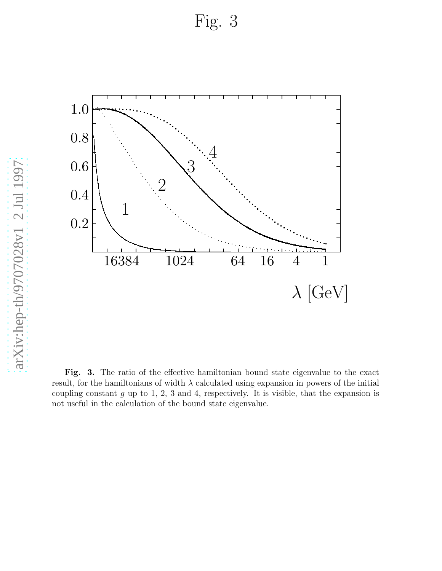

Fig. 3. The ratio of the effective hamiltonian bound state eigenvalue to the exact result, for the hamiltonians of width  $\lambda$  calculated using expansion in powers of the initial coupling constant  $g$  up to 1, 2, 3 and 4, respectively. It is visible, that the expansion is not useful in the calculation of the bound state eigenvalue.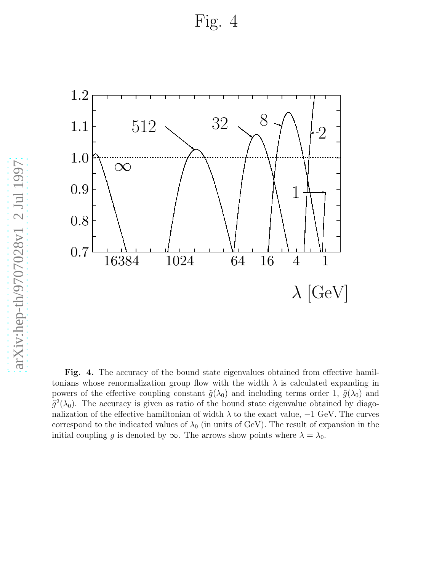

Fig. 4. The accuracy of the bound state eigenvalues obtained from effective hamiltonians whose renormalization group flow with the width  $\lambda$  is calculated expanding in powers of the effective coupling constant  $\tilde{g}(\lambda_0)$  and including terms order 1,  $\tilde{g}(\lambda_0)$  and  $\tilde{g}^2(\lambda_0)$ . The accuracy is given as ratio of the bound state eigenvalue obtained by diagonalization of the effective hamiltonian of width  $\lambda$  to the exact value,  $-1$  GeV. The curves correspond to the indicated values of  $\lambda_0$  (in units of GeV). The result of expansion in the initial coupling g is denoted by  $\infty$ . The arrows show points where  $\lambda = \lambda_0$ .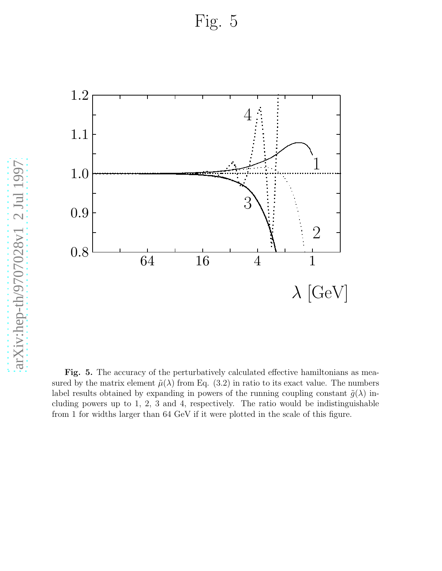

Fig. 5. The accuracy of the perturbatively calculated effective hamiltonians as measured by the matrix element  $\tilde{\mu}(\lambda)$  from Eq. (3.2) in ratio to its exact value. The numbers label results obtained by expanding in powers of the running coupling constant  $\tilde{g}(\lambda)$  including powers up to 1, 2, 3 and 4, respectively. The ratio would be indistinguishable from 1 for widths larger than 64 GeV if it were plotted in the scale of this figure.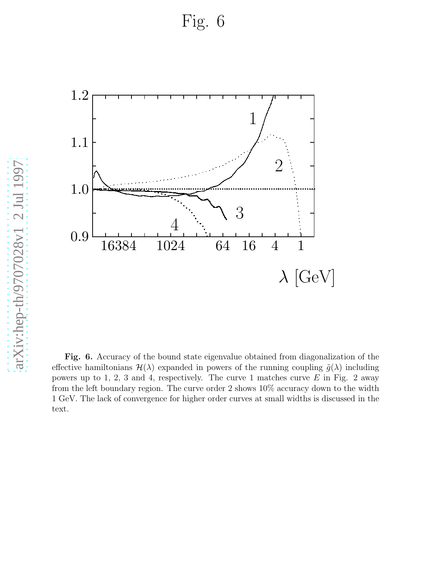

Fig. 6. Accuracy of the bound state eigenvalue obtained from diagonalization of the effective hamiltonians  $\mathcal{H}(\lambda)$  expanded in powers of the running coupling  $\tilde{g}(\lambda)$  including powers up to 1, 2, 3 and 4, respectively. The curve 1 matches curve  $E$  in Fig. 2 away from the left boundary region. The curve order 2 shows 10% accuracy down to the width 1 GeV. The lack of convergence for higher order curves at small widths is discussed in the text.